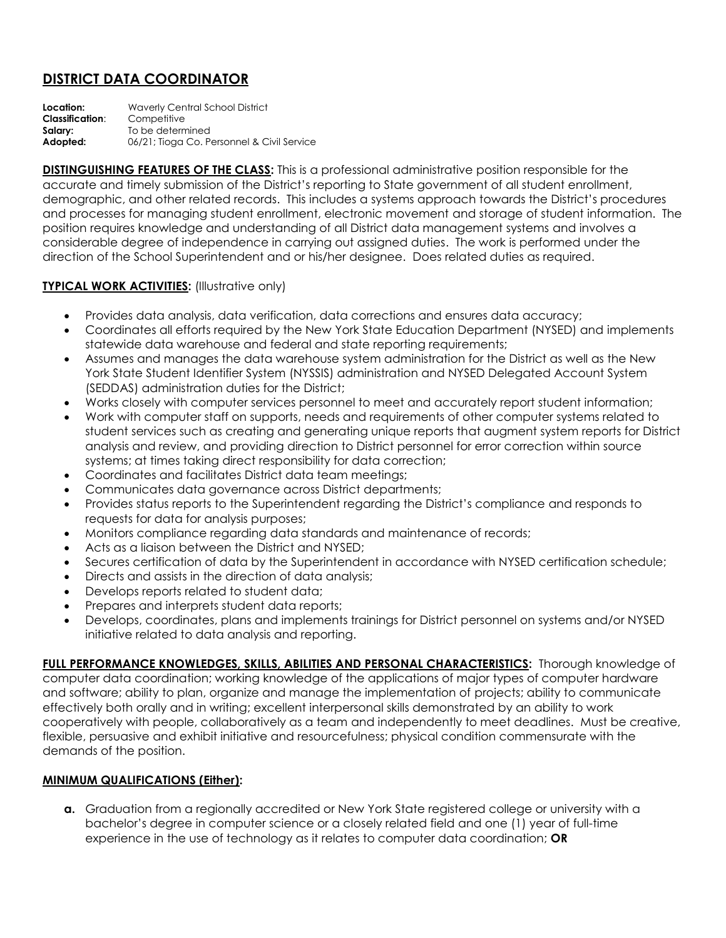## **DISTRICT DATA COORDINATOR**

**Location:** Waverly Central School District **Classification**: Competitive **Salary:** To be determined **Adopted:** 06/21; Tioga Co. Personnel & Civil Service

**DISTINGUISHING FEATURES OF THE CLASS:** This is a professional administrative position responsible for the accurate and timely submission of the District's reporting to State government of all student enrollment, demographic, and other related records. This includes a systems approach towards the District's procedures and processes for managing student enrollment, electronic movement and storage of student information. The position requires knowledge and understanding of all District data management systems and involves a considerable degree of independence in carrying out assigned duties. The work is performed under the direction of the School Superintendent and or his/her designee. Does related duties as required.

## **TYPICAL WORK ACTIVITIES:** (Illustrative only)

- Provides data analysis, data verification, data corrections and ensures data accuracy;
- Coordinates all efforts required by the New York State Education Department (NYSED) and implements statewide data warehouse and federal and state reporting requirements;
- Assumes and manages the data warehouse system administration for the District as well as the New York State Student Identifier System (NYSSIS) administration and NYSED Delegated Account System (SEDDAS) administration duties for the District;
- Works closely with computer services personnel to meet and accurately report student information;
- Work with computer staff on supports, needs and requirements of other computer systems related to student services such as creating and generating unique reports that augment system reports for District analysis and review, and providing direction to District personnel for error correction within source systems; at times taking direct responsibility for data correction;
- Coordinates and facilitates District data team meetings;
- Communicates data governance across District departments;
- Provides status reports to the Superintendent regarding the District's compliance and responds to requests for data for analysis purposes;
- Monitors compliance regarding data standards and maintenance of records;
- Acts as a liaison between the District and NYSED;
- Secures certification of data by the Superintendent in accordance with NYSED certification schedule;
- Directs and assists in the direction of data analysis;
- Develops reports related to student data;
- Prepares and interprets student data reports;
- Develops, coordinates, plans and implements trainings for District personnel on systems and/or NYSED initiative related to data analysis and reporting.

**FULL PERFORMANCE KNOWLEDGES, SKILLS, ABILITIES AND PERSONAL CHARACTERISTICS:** Thorough knowledge of computer data coordination; working knowledge of the applications of major types of computer hardware and software; ability to plan, organize and manage the implementation of projects; ability to communicate effectively both orally and in writing; excellent interpersonal skills demonstrated by an ability to work cooperatively with people, collaboratively as a team and independently to meet deadlines. Must be creative, flexible, persuasive and exhibit initiative and resourcefulness; physical condition commensurate with the demands of the position.

## **MINIMUM QUALIFICATIONS (Either):**

**a.** Graduation from a regionally accredited or New York State registered college or university with a bachelor's degree in computer science or a closely related field and one (1) year of full-time experience in the use of technology as it relates to computer data coordination; **OR**